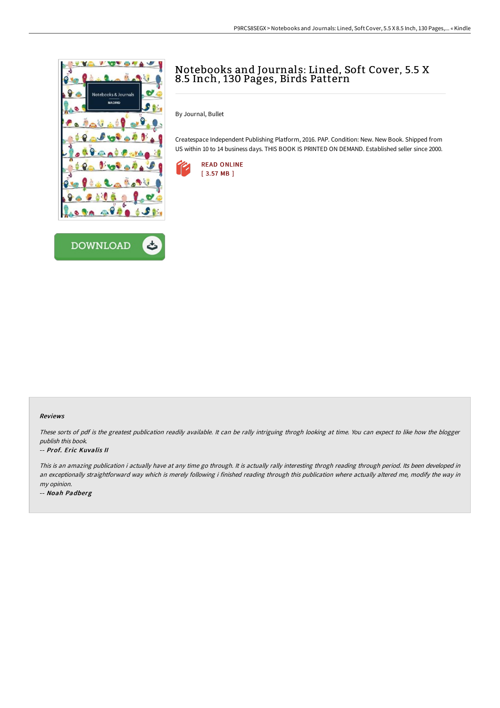



## Notebooks and Journals: Lined, Soft Cover, 5.5 X 8.5 Inch, 130 Pages, Birds Pattern

By Journal, Bullet

Createspace Independent Publishing Platform, 2016. PAP. Condition: New. New Book. Shipped from US within 10 to 14 business days. THIS BOOK IS PRINTED ON DEMAND. Established seller since 2000.



## Reviews

These sorts of pdf is the greatest publication readily available. It can be rally intriguing throgh looking at time. You can expect to like how the blogger publish this book.

## -- Prof. Eric Kuvalis II

This is an amazing publication i actually have at any time go through. It is actually rally interesting throgh reading through period. Its been developed in an exceptionally straightforward way which is merely following i finished reading through this publication where actually altered me, modify the way in my opinion.

-- Noah Padberg